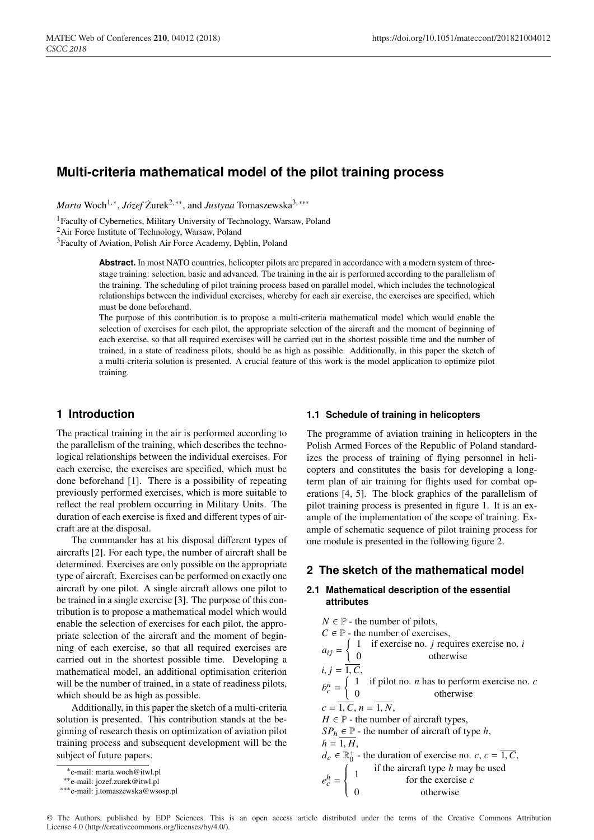# **Multi-criteria mathematical model of the pilot training process**

*Marta* Woch<sup>1,∗</sup>, *Józef* Żurek<sup>2,∗∗</sup>, and *Justyna* Tomaszewska<sup>3,∗</sup>\*\*

1Faculty of Cybernetics, Military University of Technology, Warsaw, Poland

2Air Force Institute of Technology, Warsaw, Poland

<sup>3</sup>Faculty of Aviation, Polish Air Force Academy, Deblin, Poland

**Abstract.** In most NATO countries, helicopter pilots are prepared in accordance with a modern system of threestage training: selection, basic and advanced. The training in the air is performed according to the parallelism of the training. The scheduling of pilot training process based on parallel model, which includes the technological relationships between the individual exercises, whereby for each air exercise, the exercises are specified, which must be done beforehand.

The purpose of this contribution is to propose a multi-criteria mathematical model which would enable the selection of exercises for each pilot, the appropriate selection of the aircraft and the moment of beginning of each exercise, so that all required exercises will be carried out in the shortest possible time and the number of trained, in a state of readiness pilots, should be as high as possible. Additionally, in this paper the sketch of a multi-criteria solution is presented. A crucial feature of this work is the model application to optimize pilot training.

# **1 Introduction**

The practical training in the air is performed according to the parallelism of the training, which describes the technological relationships between the individual exercises. For each exercise, the exercises are specified, which must be done beforehand [1]. There is a possibility of repeating previously performed exercises, which is more suitable to reflect the real problem occurring in Military Units. The duration of each exercise is fixed and different types of aircraft are at the disposal.

The commander has at his disposal different types of aircrafts [2]. For each type, the number of aircraft shall be determined. Exercises are only possible on the appropriate type of aircraft. Exercises can be performed on exactly one aircraft by one pilot. A single aircraft allows one pilot to be trained in a single exercise [3]. The purpose of this contribution is to propose a mathematical model which would enable the selection of exercises for each pilot, the appropriate selection of the aircraft and the moment of beginning of each exercise, so that all required exercises are carried out in the shortest possible time. Developing a mathematical model, an additional optimisation criterion will be the number of trained, in a state of readiness pilots, which should be as high as possible.

Additionally, in this paper the sketch of a multi-criteria solution is presented. This contribution stands at the beginning of research thesis on optimization of aviation pilot training process and subsequent development will be the subject of future papers.

#### **1.1 Schedule of training in helicopters**

The programme of aviation training in helicopters in the Polish Armed Forces of the Republic of Poland standardizes the process of training of flying personnel in helicopters and constitutes the basis for developing a longterm plan of air training for flights used for combat operations [4, 5]. The block graphics of the parallelism of pilot training process is presented in figure 1. It is an example of the implementation of the scope of training. Example of schematic sequence of pilot training process for one module is presented in the following figure 2.

### **2 The sketch of the mathematical model**

# **2.1 Mathematical description of the essential attributes**

| $N \in \mathbb{P}$ - the number of pilots,                                                                                    |
|-------------------------------------------------------------------------------------------------------------------------------|
| $C \in \mathbb{P}$ - the number of exercises,                                                                                 |
|                                                                                                                               |
| $a_{ij} = \begin{cases} 1 & \text{if exercise no. } j \text{ requires exercise no. } i \\ 0 & \text{otherwise} \end{cases}$   |
| $i, j = \overline{1, C},$                                                                                                     |
| $b_c^n = \begin{cases} 1 & \text{if pilot no. } n \text{ has to perform exercise no. } c \\ 0 & \text{otherwise} \end{cases}$ |
|                                                                                                                               |
| $c = \overline{1, C}, n = 1, N,$                                                                                              |
| $H \in \mathbb{P}$ - the number of aircraft types,                                                                            |
| $SPh \in \mathbb{P}$ - the number of aircraft of type h,                                                                      |
| $h = 1, H,$                                                                                                                   |
| $d_c \in \mathbb{R}_0^+$ - the duration of exercise no. $c, c = \overline{1, C}$ ,                                            |
| $e_c^h = \begin{cases} 1 & \text{if the aircraft type } h \text{ may be used} \\ 0 & \text{otherwise } c \end{cases}$         |
|                                                                                                                               |
| otherwise                                                                                                                     |
|                                                                                                                               |

© The Authors, published by EDP Sciences. This is an open access article distributed under the terms of the Creative Commons Attribution License 4.0 (http://creativecommons.org/licenses/by/4.0/).

<sup>∗</sup>e-mail: marta.woch@itwl.pl

<sup>∗∗</sup>e-mail: jozef.zurek@itwl.pl

<sup>∗∗∗</sup>e-mail: j.tomaszewska@wsosp.pl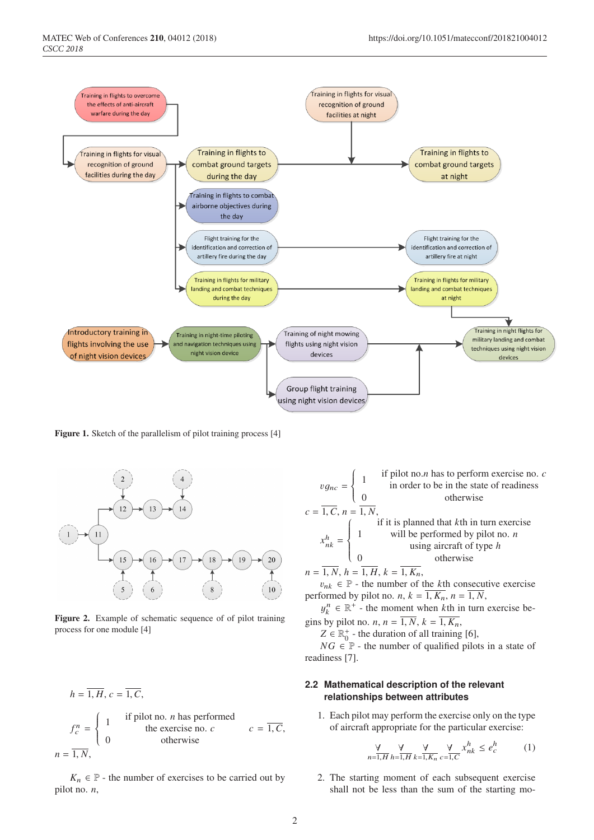

Figure 1. Sketch of the parallelism of pilot training process [4]



Figure 2. Example of schematic sequence of of pilot training process for one module [4]

$$
h = \overline{1, H}, c = \overline{1, C},
$$
  
\n
$$
f_c^n = \begin{cases} 1 & \text{if pilot no. } n \text{ has performed} \\ 0 & \text{the exercise no. } c \\ 0 & \text{otherwise} \end{cases} c = \overline{1, C},
$$
  
\n
$$
n = \overline{1, N},
$$

 $K_n \in \mathbb{P}$  - the number of exercises to be carried out by pilot no. *n*,

 $vg_{nc} = \begin{cases} 1 \\ 0 \\ 0 \end{cases}$ <br> $c = \overline{1, C}, n = \overline{1, N},$ if pilot no.*n* has to perform exercise no. *c* in order to be in the state of readiness otherwise  $x_{nk}^h = \begin{cases} \frac{1}{h} & \text{if } h \leq h \leq h \end{cases}$  $\overline{\phantom{a}}$ 1 will be performed by pilot no. *n* if it is planned that *k*th in turn exercise using aircraft of type *h* 0 otherwise  $n = 1, N, h = 1, H, k = 1, K_n,$ 

 $v_{nk} \in \mathbb{P}$  - the number of the *k*th consecutive exercise performed by pilot no. *n*,  $k = \overline{1, K_n}$ ,  $n = \overline{1, N}$ ,

 $y_k^n \in \mathbb{R}^+$  - the moment when *k*th in turn exercise begins by pilot no. *n*,  $n = \overline{1, N}$ ,  $k = \overline{1, K_n}$ ,

 $Z \in \mathbb{R}_0^+$  - the duration of all training [6],

 $NG \in \mathbb{P}$  - the number of qualified pilots in a state of readiness [7].

## **2.2 Mathematical description of the relevant relationships between attributes**

1. Each pilot may perform the exercise only on the type of aircraft appropriate for the particular exercise:

$$
\frac{\forall}{n=1,H} \frac{\forall}{h=1,H} \frac{\forall}{k=1,K_n} \frac{\forall}{c=1,C} x_{nk}^h \le e_c^h \tag{1}
$$

2. The starting moment of each subsequent exercise shall not be less than the sum of the starting mo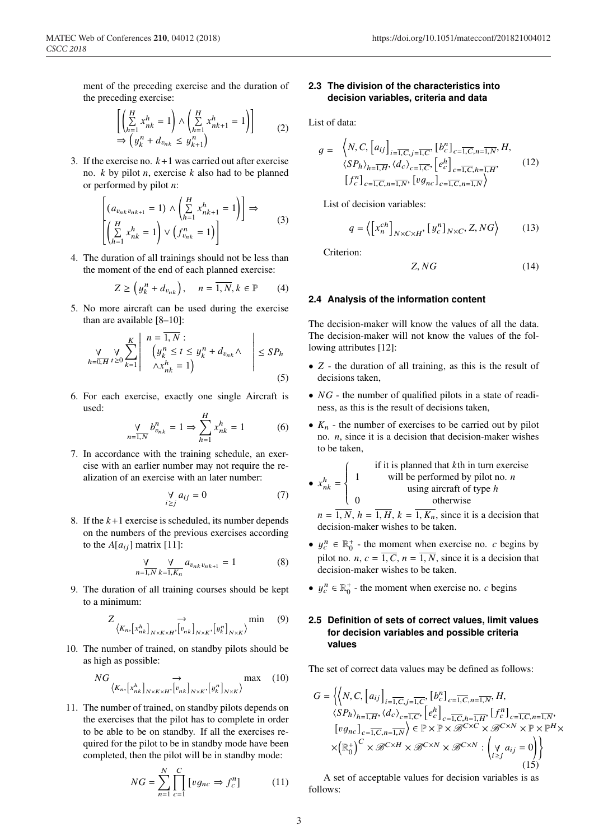ment of the preceding exercise and the duration of the preceding exercise:

$$
\begin{aligned} & \left[ \left( \sum_{h=1}^{H} x_{nk}^{h} = 1 \right) \wedge \left( \sum_{h=1}^{H} x_{nk+1}^{h} = 1 \right) \right] \\ &\Rightarrow \left( y_{k}^{n} + d_{v_{nk}} \le y_{k+1}^{n} \right) \end{aligned} \tag{2}
$$

3. If the exercise no.  $k+1$  was carried out after exercise no. *k* by pilot *n*, exercise *k* also had to be planned or performed by pilot *n*:

$$
\begin{bmatrix}\n(a_{v_{nk}v_{nk+1}} = 1) \wedge \left(\sum_{h=1}^{H} x_{nk+1}^h = 1\right)\n\end{bmatrix} \Rightarrow
$$
\n
$$
\begin{bmatrix}\n\left(\sum_{h=1}^{H} x_{nk}^h = 1\right) \vee \left(f_{v_{nk}}^n = 1\right)\n\end{bmatrix}
$$
\n(3)

4. The duration of all trainings should not be less than the moment of the end of each planned exercise:

$$
Z \ge \left(y_k^n + d_{v_{nk}}\right), \quad n = \overline{1, N}, k \in \mathbb{P} \qquad (4)
$$

5. No more aircraft can be used during the exercise than are available [8–10]:

$$
\frac{\forall}{h=0, H} \sum_{t=0}^{K} \left| \begin{array}{c} n = \overline{1, N} : \\ \left( y_k^n \le t \le y_k^n + d_{v_{nk}} \wedge \\ \wedge x_{nk}^h = 1 \right) \end{array} \right| \le SP_h
$$
\n(5)

6. For each exercise, exactly one single Aircraft is used:

$$
\frac{y}{\prod_{l=1,N}^{n} b_{v_{nk}}^{n}} = 1 \Rightarrow \sum_{h=1}^{H} x_{nk}^{h} = 1
$$
 (6)

7. In accordance with the training schedule, an exercise with an earlier number may not require the realization of an exercise with an later number:

 $\boldsymbol{n}$ 

$$
\bigvee_{i \geq j} a_{ij} = 0 \tag{7}
$$

8. If the  $k+1$  exercise is scheduled, its number depends on the numbers of the previous exercises according to the  $A[a_{ij}]$  matrix [11]:

$$
\frac{\forall}{n=1,N} \frac{\forall}{k=1,K_n} a_{v_{nk}v_{nk+1}} = 1
$$
 (8)

9. The duration of all training courses should be kept to a minimum:

$$
Z \underset{\langle K_n, [x_{nk}^h]_{N \times K \times H}, [v_{nk}^h]_{N \times K}, [y_{k}^n]_{N \times K}\rangle}{\text{min}} \qquad (9)
$$

10. The number of trained, on standby pilots should be as high as possible:

$$
NG \underset{\langle K_n, [x_{nk}^h]_{N \times K \times H}, [v_{nk}^h]_{N \times K}, [y_{k}^n]_{N \times K}}{\longrightarrow} \max (10)
$$

11. The number of trained, on standby pilots depends on the exercises that the pilot has to complete in order to be able to be on standby. If all the exercises required for the pilot to be in standby mode have been completed, then the pilot will be in standby mode:

$$
NG = \sum_{n=1}^{N} \prod_{c=1}^{C} \left[ v g_{nc} \Rightarrow f_c^n \right] \tag{11}
$$

# **2.3 The division of the characteristics into decision variables, criteria and data**

List of data:

$$
g = \left\langle N, C, \left[a_{ij}\right]_{i=\overline{1,C}, j=\overline{1,C}}, \left[b_c^n\right]_{c=\overline{1,C}, n=\overline{1,N}}, H, \left\langle \sum_{i=1, H} \left\langle d_c \right\rangle_{c=\overline{1,C}}, \left[e_c^h\right]_{c=\overline{1,C}, n=\overline{1,N}}, \left[f_c^n\right]_{c=\overline{1,C}, n=\overline{1,N}}\right\rangle \right\langle 12 \rangle
$$

List of decision variables:

$$
q = \left\langle \left[ x_n^{ch} \right]_{N \times C \times H}, \left[ y_c^n \right]_{N \times C}, Z, NG \right\rangle \tag{13}
$$

Criterion:

$$
Z, NG \tag{14}
$$

#### **2.4 Analysis of the information content**

The decision-maker will know the values of all the data. The decision-maker will not know the values of the following attributes [12]:

- *Z* the duration of all training, as this is the result of decisions taken,
- *NG* the number of qualified pilots in a state of readiness, as this is the result of decisions taken,
- $K_n$  the number of exercises to be carried out by pilot no. *n*, since it is a decision that decision-maker wishes to be taken,

• 
$$
x_{nk}^h =\begin{cases} 1 & \text{if it is planned that } k\text{th in turn exercise} \\ 1 & \text{will be performed by pilot no. } n \\ 0 & \text{using aircraft of type } h \end{cases}
$$
  

$$
n = \overline{1, N}, h = \overline{1, H}, k = \overline{1, K_n}, \text{ since it is a decision that decision-maker wishes to be taken.}
$$

- $y_c^n \in \mathbb{R}_0^+$  the moment when exercise no. *c* begins by pilot no. *n*,  $c = \overline{1, C}$ ,  $n = \overline{1, N}$ , since it is a decision that decision-maker wishes to be taken.
- $y_c^n \in \mathbb{R}_0^+$  the moment when exercise no. *c* begins

# **2.5 Definition of sets of correct values, limit values for decision variables and possible criteria values**

The set of correct data values may be defined as follows:

$$
G = \left\{ \left\langle N, C, \left[ a_{ij} \right]_{i=\overline{1,C}, j=\overline{1,C}}, \left[ b_{c}^{n} \right]_{c=\overline{1,C}, n=\overline{1,N}}, H, \right\} \right\}
$$
  

$$
\left\langle SP_{h} \right\rangle_{h=\overline{1,H}}, \left\langle d_{c} \right\rangle_{c=\overline{1,C}}, \left[ e_{c}^{h} \right]_{c=\overline{1,C}, h=\overline{1,H}}, \left[ f_{c}^{n} \right]_{c=\overline{1,C}, n=\overline{1,N}},
$$
  

$$
\left[ v g_{nc} \right]_{c=\overline{1,C}, n=\overline{1,N}} \right\rangle \in \mathbb{P} \times \mathbb{P} \times \mathcal{B}^{C \times C} \times \mathcal{B}^{C \times N} \times \mathbb{P} \times \mathbb{P}^{H} \times
$$
  

$$
\times \left( \mathbb{R}_{0}^{+} \right)^{C} \times \mathcal{B}^{C \times H} \times \mathcal{B}^{C \times N} \times \mathcal{B}^{C \times N} : \left( \bigvee_{i \geq j} a_{ij} = 0 \right) \right\}
$$
  
(15)

A set of acceptable values for decision variables is as follows: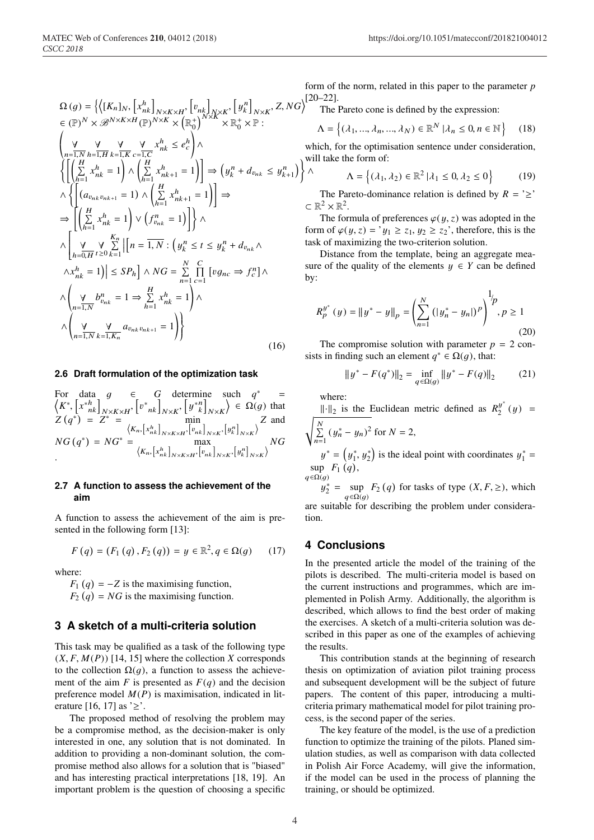$$
\Omega(g) = \left\{ \left\langle [K_n]_N, \left[ x_{nk}^h \right]_{N \times K \times H}, \left[ v_{nk} \right]_{N \times K}, \left[ y_{k}^n \right]_{N \times K}, Z, NG \right\} \right\}
$$
\n
$$
\in (\mathbb{P})^N \times \mathcal{B}^{N \times K \times H}(\mathbb{P})^{N \times K} \times \left( \mathbb{R}_0^+ \right)^{N \times K} \times \mathbb{R}_0^+ \times \mathbb{P} :
$$
\n
$$
\begin{pmatrix}\n\mathbf{y} & \mathbf{y} & \mathbf{y} & \mathbf{y} & \mathbf{x}^h & \mathbf{x}^h & \mathbf{z} & e_0^h \\
n=1, N \ h=1, H \ k=1, K \ c=1, C\n\end{pmatrix} \wedge \begin{pmatrix}\nH & \mathbf{y} & \mathbf{y} & \mathbf{x}^h & \mathbf{x}^h & \mathbf{z} & \mathbf{z} \\
\mathbf{x}^h & \mathbf{z} & \mathbf{z} & \mathbf{z} & \mathbf{z} \\
\mathbf{z} & \mathbf{x}^h & \mathbf{z} & \mathbf{z} & \mathbf{z} \\
\mathbf{z} & \mathbf{x}^h & \mathbf{z} & \mathbf{z} & \mathbf{z} \\
\mathbf{z} & \mathbf{x}^h & \mathbf{z} & \mathbf{z} & \mathbf{z}\n\end{pmatrix} \right\}
$$
\n
$$
\Rightarrow \left[ \begin{pmatrix}\nH & \mathbf{x}^h & \mathbf{x}^h & \mathbf{z} \\
\mathbf{x}^h & \mathbf{z} & \mathbf{z} \\
\mathbf{z} & \mathbf{x}^h & \mathbf{z} \\
\mathbf{z} & \mathbf{z} & \mathbf{z} \\
\mathbf{z} & \mathbf{z} & \mathbf{z} \\
\mathbf{z} & \mathbf{z} & \mathbf{z} \\
\mathbf{z} & \mathbf{z} & \mathbf{z} \\
\mathbf{z} & \mathbf{z} & \mathbf{z} \\
\mathbf{z} & \mathbf{z} & \mathbf{z} \\
\mathbf{z} & \mathbf{z} & \mathbf{z} \\
\mathbf{z} & \mathbf{z} & \mathbf{z} \\
\mathbf{z} & \mathbf{z} &
$$

#### **2.6 Draft formulation of the optimization task**

For data 
$$
g \in G
$$
 determine such  $q^* =$   
\n $\langle K^*, [x^{*h}_{nk}]_{N \times K \times H}, [v^*_{nk}]_{N \times K}, [y^{*n}]_{N \times K} \rangle \in \Omega(g)$  that  
\n $Z(q^*) = Z^* = \begin{cases} \n\langle K_{n}, [x^{h}_{nk}]_{N \times K \times H}, [v_{nk}]_{N \times K}, [y^{n}_{k}]_{N \times K}\n\end{cases}$  and  
\n $NG(q^*) = NG^* = \begin{cases} \n\langle K_{n}, [x^{h}_{nk}]_{N \times K \times H}, [v_{nk}]_{N \times K}, [y^{n}_{k}]_{N \times K}\n\end{cases}$ 

### **2.7 A function to assess the achievement of the aim**

A function to assess the achievement of the aim is presented in the following form [13]:

$$
F(q) = (F_1(q), F_2(q)) = y \in \mathbb{R}^2, q \in \Omega(g) \qquad (17)
$$

where:

 $F_1(q) = -Z$  is the maximising function,  $F_2(q) = NG$  is the maximising function.

# **3 A sketch of a multi-criteria solution**

This task may be qualified as a task of the following type  $(X, F, M(P))$  [14, 15] where the collection *X* corresponds to the collection  $\Omega(g)$ , a function to assess the achievement of the aim  $F$  is presented as  $F(q)$  and the decision preference model  $M(P)$  is maximisation, indicated in literature [16, 17] as '≥'.

The proposed method of resolving the problem may be a compromise method, as the decision-maker is only interested in one, any solution that is not dominated. In addition to providing a non-dominant solution, the compromise method also allows for a solution that is "biased" and has interesting practical interpretations [18, 19]. An important problem is the question of choosing a specific

form of the norm, related in this paper to the parameter *p* [20–22].

The Pareto cone is defined by the expression:

$$
\Lambda = \left\{ (\lambda_1, ..., \lambda_n, ..., \lambda_N) \in \mathbb{R}^N \, | \lambda_n \le 0, n \in \mathbb{N} \right\} \tag{18}
$$

will take the form of: which, for the optimisation sentence under consideration,

$$
\Lambda = \left\{ (\lambda_1, \lambda_2) \in \mathbb{R}^2 \, | \lambda_1 \le 0, \lambda_2 \le 0 \right\} \tag{19}
$$

The Pareto-dominance relation is defined by  $R = \geq$  $\subset \mathbb{R}^2 \times \mathbb{R}^2$ .

The formula of preferences  $\varphi(y, z)$  was adopted in the form of  $\varphi(y, z) = y_1 \ge z_1, y_2 \ge z_2$ , therefore, this is the task of maximizing the two-criterion solution.

Distance from the template, being an aggregate measure of the quality of the elements  $y \in Y$  can be defined by:

$$
R_p^{y^*}(y) = ||y^* - y||_p = \left(\sum_{n=1}^N (|y_n^* - y_n|)^p\right)^{1/p}, p \ge 1
$$
\n(20)

The compromise solution with parameter  $p = 2$  consists in finding such an element  $q^* \in \Omega(q)$ , that:

$$
||y^* - F(q^*)||_2 = \inf_{q \in \Omega(g)} ||y^* - F(q)||_2 \tag{21}
$$

where:

∧

 $|| \cdot ||_2$  is the Euclidean metric defined as  $R_2^{y^*}(y) =$  $\sum_{i=1}^{N}$  $\sum_{n=1}^{N} (y_n^* - y_n)^2$  for  $N = 2$ ,

 $y^* = (y_1^*, y_2^*)$  is the ideal point with coordinates  $y_1^* =$ sup  $F_1(q)$ ,  $q \in \Omega(g)$ 

 $y_2^* = \sup_{x \in \mathbb{R}^3} F_2(q)$  for tasks of type  $(X, F, \geq)$ , which  $q \in \Omega(q)$ are suitable for describing the problem under consideration.

#### **4 Conclusions**

In the presented article the model of the training of the pilots is described. The multi-criteria model is based on the current instructions and programmes, which are implemented in Polish Army. Additionally, the algorithm is described, which allows to find the best order of making the exercises. A sketch of a multi-criteria solution was described in this paper as one of the examples of achieving the results.

This contribution stands at the beginning of research thesis on optimization of aviation pilot training process and subsequent development will be the subject of future papers. The content of this paper, introducing a multicriteria primary mathematical model for pilot training process, is the second paper of the series.

The key feature of the model, is the use of a prediction function to optimize the training of the pilots. Planed simulation studies, as well as comparison with data collected in Polish Air Force Academy, will give the information, if the model can be used in the process of planning the training, or should be optimized.